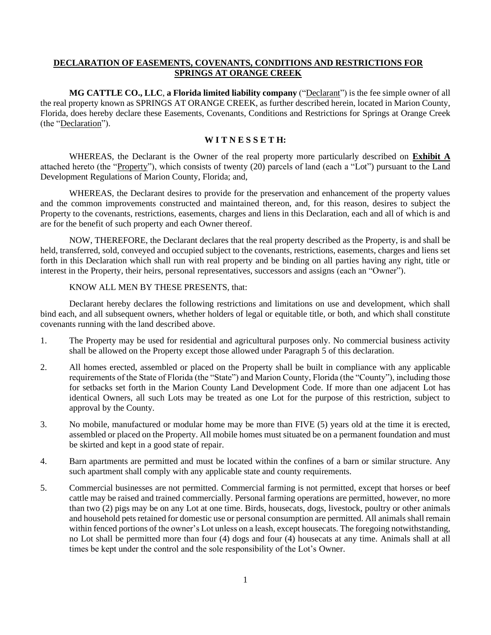### **DECLARATION OF EASEMENTS, COVENANTS, CONDITIONS AND RESTRICTIONS FOR SPRINGS AT ORANGE CREEK**

**MG CATTLE CO., LLC**, **a Florida limited liability company** ("Declarant") is the fee simple owner of all the real property known as SPRINGS AT ORANGE CREEK, as further described herein, located in Marion County, Florida, does hereby declare these Easements, Covenants, Conditions and Restrictions for Springs at Orange Creek (the "Declaration").

#### **W I T N E S S E T H:**

WHEREAS, the Declarant is the Owner of the real property more particularly described on **Exhibit A** attached hereto (the "Property"), which consists of twenty (20) parcels of land (each a "Lot") pursuant to the Land Development Regulations of Marion County, Florida; and,

WHEREAS, the Declarant desires to provide for the preservation and enhancement of the property values and the common improvements constructed and maintained thereon, and, for this reason, desires to subject the Property to the covenants, restrictions, easements, charges and liens in this Declaration, each and all of which is and are for the benefit of such property and each Owner thereof.

NOW, THEREFORE, the Declarant declares that the real property described as the Property, is and shall be held, transferred, sold, conveyed and occupied subject to the covenants, restrictions, easements, charges and liens set forth in this Declaration which shall run with real property and be binding on all parties having any right, title or interest in the Property, their heirs, personal representatives, successors and assigns (each an "Owner").

### KNOW ALL MEN BY THESE PRESENTS, that:

Declarant hereby declares the following restrictions and limitations on use and development, which shall bind each, and all subsequent owners, whether holders of legal or equitable title, or both, and which shall constitute covenants running with the land described above.

- 1. The Property may be used for residential and agricultural purposes only. No commercial business activity shall be allowed on the Property except those allowed under Paragraph 5 of this declaration.
- 2. All homes erected, assembled or placed on the Property shall be built in compliance with any applicable requirements of the State of Florida (the "State") and Marion County, Florida (the "County"), including those for setbacks set forth in the Marion County Land Development Code. If more than one adjacent Lot has identical Owners, all such Lots may be treated as one Lot for the purpose of this restriction, subject to approval by the County.
- 3. No mobile, manufactured or modular home may be more than FIVE (5) years old at the time it is erected, assembled or placed on the Property. All mobile homes must situated be on a permanent foundation and must be skirted and kept in a good state of repair.
- 4. Barn apartments are permitted and must be located within the confines of a barn or similar structure. Any such apartment shall comply with any applicable state and county requirements.
- 5. Commercial businesses are not permitted. Commercial farming is not permitted, except that horses or beef cattle may be raised and trained commercially. Personal farming operations are permitted, however, no more than two (2) pigs may be on any Lot at one time. Birds, housecats, dogs, livestock, poultry or other animals and household pets retained for domestic use or personal consumption are permitted. All animals shall remain within fenced portions of the owner's Lot unless on a leash, except housecats. The foregoing notwithstanding, no Lot shall be permitted more than four (4) dogs and four (4) housecats at any time. Animals shall at all times be kept under the control and the sole responsibility of the Lot's Owner.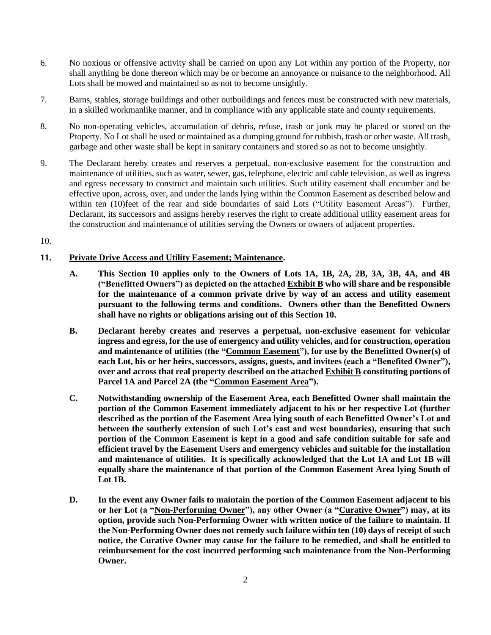- 6. No noxious or offensive activity shall be carried on upon any Lot within any portion of the Property, nor shall anything be done thereon which may be or become an annoyance or nuisance to the neighborhood. All Lots shall be mowed and maintained so as not to become unsightly.
- 7. Barns, stables, storage buildings and other outbuildings and fences must be constructed with new materials, in a skilled workmanlike manner, and in compliance with any applicable state and county requirements.
- 8. No non-operating vehicles, accumulation of debris, refuse, trash or junk may be placed or stored on the Property. No Lot shall be used or maintained as a dumping ground for rubbish, trash or other waste. All trash, garbage and other waste shall be kept in sanitary containers and stored so as not to become unsightly.
- 9. The Declarant hereby creates and reserves a perpetual, non-exclusive easement for the construction and maintenance of utilities, such as water, sewer, gas, telephone, electric and cable television, as well as ingress and egress necessary to construct and maintain such utilities. Such utility easement shall encumber and be effective upon, across, over, and under the lands lying within the Common Easement as described below and within ten (10)feet of the rear and side boundaries of said Lots ("Utility Easement Areas"). Further, Declarant, its successors and assigns hereby reserves the right to create additional utility easement areas for the construction and maintenance of utilities serving the Owners or owners of adjacent properties.
- 10.

# **11. Private Drive Access and Utility Easement; Maintenance.**

- **A. This Section 10 applies only to the Owners of Lots 1A, 1B, 2A, 2B, 3A, 3B, 4A, and 4B ("Benefitted Owners") as depicted on the attached Exhibit B who will share and be responsible for the maintenance of a common private drive by way of an access and utility easement pursuant to the following terms and conditions. Owners other than the Benefitted Owners shall have no rights or obligations arising out of this Section 10.**
- **B. Declarant hereby creates and reserves a perpetual, non-exclusive easement for vehicular ingress and egress, for the use of emergency and utility vehicles, and for construction, operation and maintenance of utilities (the "Common Easement"), for use by the Benefitted Owner(s) of each Lot, his or her heirs, successors, assigns, guests, and invitees (each a "Benefited Owner"), over and across that real property described on the attached Exhibit B constituting portions of Parcel 1A and Parcel 2A (the "Common Easement Area").**
- **C. Notwithstanding ownership of the Easement Area, each Benefitted Owner shall maintain the portion of the Common Easement immediately adjacent to his or her respective Lot (further described as the portion of the Easement Area lying south of each Benefitted Owner's Lot and between the southerly extension of such Lot's east and west boundaries), ensuring that such portion of the Common Easement is kept in a good and safe condition suitable for safe and efficient travel by the Easement Users and emergency vehicles and suitable for the installation and maintenance of utilities. It is specifically acknowledged that the Lot 1A and Lot 1B will equally share the maintenance of that portion of the Common Easement Area lying South of Lot 1B.**
- **D. In the event any Owner fails to maintain the portion of the Common Easement adjacent to his or her Lot (a "Non-Performing Owner"), any other Owner (a "Curative Owner") may, at its option, provide such Non-Performing Owner with written notice of the failure to maintain. If the Non-Performing Owner does not remedy such failure within ten (10) days of receipt of such notice, the Curative Owner may cause for the failure to be remedied, and shall be entitled to reimbursement for the cost incurred performing such maintenance from the Non-Performing Owner.**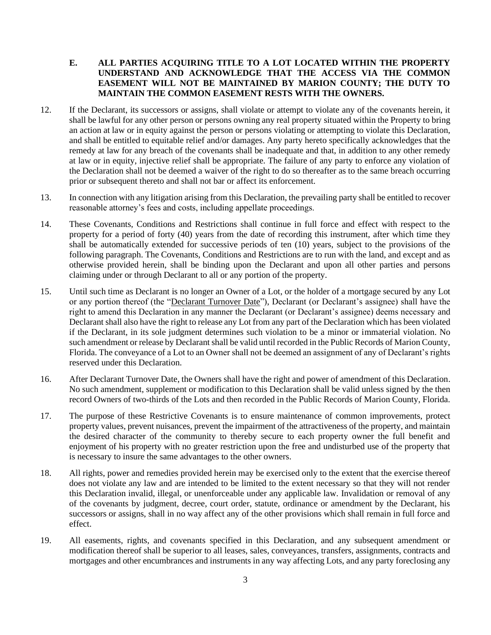## **E. ALL PARTIES ACQUIRING TITLE TO A LOT LOCATED WITHIN THE PROPERTY UNDERSTAND AND ACKNOWLEDGE THAT THE ACCESS VIA THE COMMON EASEMENT WILL NOT BE MAINTAINED BY MARION COUNTY; THE DUTY TO MAINTAIN THE COMMON EASEMENT RESTS WITH THE OWNERS.**

- 12. If the Declarant, its successors or assigns, shall violate or attempt to violate any of the covenants herein, it shall be lawful for any other person or persons owning any real property situated within the Property to bring an action at law or in equity against the person or persons violating or attempting to violate this Declaration, and shall be entitled to equitable relief and/or damages. Any party hereto specifically acknowledges that the remedy at law for any breach of the covenants shall be inadequate and that, in addition to any other remedy at law or in equity, injective relief shall be appropriate. The failure of any party to enforce any violation of the Declaration shall not be deemed a waiver of the right to do so thereafter as to the same breach occurring prior or subsequent thereto and shall not bar or affect its enforcement.
- 13. In connection with any litigation arising from this Declaration, the prevailing party shall be entitled to recover reasonable attorney's fees and costs, including appellate proceedings.
- 14. These Covenants, Conditions and Restrictions shall continue in full force and effect with respect to the property for a period of forty (40) years from the date of recording this instrument, after which time they shall be automatically extended for successive periods of ten (10) years, subject to the provisions of the following paragraph. The Covenants, Conditions and Restrictions are to run with the land, and except and as otherwise provided herein, shall be binding upon the Declarant and upon all other parties and persons claiming under or through Declarant to all or any portion of the property.
- 15. Until such time as Declarant is no longer an Owner of a Lot, or the holder of a mortgage secured by any Lot or any portion thereof (the "Declarant Turnover Date"), Declarant (or Declarant's assignee) shall have the right to amend this Declaration in any manner the Declarant (or Declarant's assignee) deems necessary and Declarant shall also have the right to release any Lot from any part of the Declaration which has been violated if the Declarant, in its sole judgment determines such violation to be a minor or immaterial violation. No such amendment or release by Declarant shall be valid until recorded in the Public Records of Marion County, Florida. The conveyance of a Lot to an Owner shall not be deemed an assignment of any of Declarant's rights reserved under this Declaration.
- 16. After Declarant Turnover Date, the Owners shall have the right and power of amendment of this Declaration. No such amendment, supplement or modification to this Declaration shall be valid unless signed by the then record Owners of two-thirds of the Lots and then recorded in the Public Records of Marion County, Florida.
- 17. The purpose of these Restrictive Covenants is to ensure maintenance of common improvements, protect property values, prevent nuisances, prevent the impairment of the attractiveness of the property, and maintain the desired character of the community to thereby secure to each property owner the full benefit and enjoyment of his property with no greater restriction upon the free and undisturbed use of the property that is necessary to insure the same advantages to the other owners.
- 18. All rights, power and remedies provided herein may be exercised only to the extent that the exercise thereof does not violate any law and are intended to be limited to the extent necessary so that they will not render this Declaration invalid, illegal, or unenforceable under any applicable law. Invalidation or removal of any of the covenants by judgment, decree, court order, statute, ordinance or amendment by the Declarant, his successors or assigns, shall in no way affect any of the other provisions which shall remain in full force and effect.
- 19. All easements, rights, and covenants specified in this Declaration, and any subsequent amendment or modification thereof shall be superior to all leases, sales, conveyances, transfers, assignments, contracts and mortgages and other encumbrances and instruments in any way affecting Lots, and any party foreclosing any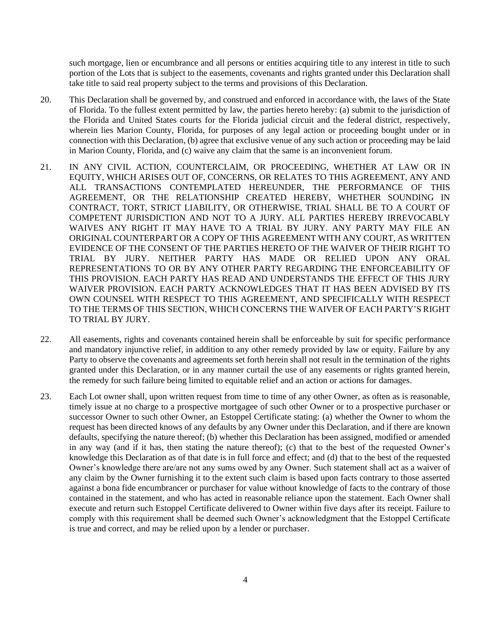such mortgage, lien or encumbrance and all persons or entities acquiring title to any interest in title to such portion of the Lots that is subject to the easements, covenants and rights granted under this Declaration shall take title to said real property subject to the terms and provisions of this Declaration.

- 20. This Declaration shall be governed by, and construed and enforced in accordance with, the laws of the State of Florida. To the fullest extent permitted by law, the parties hereto hereby: (a) submit to the jurisdiction of the Florida and United States courts for the Florida judicial circuit and the federal district, respectively, wherein lies Marion County, Florida, for purposes of any legal action or proceeding bought under or in connection with this Declaration, (b) agree that exclusive venue of any such action or proceeding may be laid in Marion County, Florida, and (c) waive any claim that the same is an inconvenient forum.
- 21. IN ANY CIVIL ACTION, COUNTERCLAIM, OR PROCEEDING, WHETHER AT LAW OR IN EQUITY, WHICH ARISES OUT OF, CONCERNS, OR RELATES TO THIS AGREEMENT, ANY AND ALL TRANSACTIONS CONTEMPLATED HEREUNDER, THE PERFORMANCE OF THIS AGREEMENT, OR THE RELATIONSHIP CREATED HEREBY, WHETHER SOUNDING IN CONTRACT, TORT, STRICT LIABILITY, OR OTHERWISE, TRIAL SHALL BE TO A COURT OF COMPETENT JURISDICTION AND NOT TO A JURY. ALL PARTIES HEREBY IRREVOCABLY WAIVES ANY RIGHT IT MAY HAVE TO A TRIAL BY JURY. ANY PARTY MAY FILE AN ORIGINAL COUNTERPART OR A COPY OF THIS AGREEMENT WITH ANY COURT, AS WRITTEN EVIDENCE OF THE CONSENT OF THE PARTIES HERETO OF THE WAIVER OF THEIR RIGHT TO TRIAL BY JURY. NEITHER PARTY HAS MADE OR RELIED UPON ANY ORAL REPRESENTATIONS TO OR BY ANY OTHER PARTY REGARDING THE ENFORCEABILITY OF THIS PROVISION. EACH PARTY HAS READ AND UNDERSTANDS THE EFFECT OF THIS JURY WAIVER PROVISION. EACH PARTY ACKNOWLEDGES THAT IT HAS BEEN ADVISED BY ITS OWN COUNSEL WITH RESPECT TO THIS AGREEMENT, AND SPECIFICALLY WITH RESPECT TO THE TERMS OF THIS SECTION, WHICH CONCERNS THE WAIVER OF EACH PARTY'S RIGHT TO TRIAL BY JURY.
- 22. All easements, rights and covenants contained herein shall be enforceable by suit for specific performance and mandatory injunctive relief, in addition to any other remedy provided by law or equity. Failure by any Party to observe the covenants and agreements set forth herein shall not result in the termination of the rights granted under this Declaration, or in any manner curtail the use of any easements or rights granted herein, the remedy for such failure being limited to equitable relief and an action or actions for damages.
- 23. Each Lot owner shall, upon written request from time to time of any other Owner, as often as is reasonable, timely issue at no charge to a prospective mortgagee of such other Owner or to a prospective purchaser or successor Owner to such other Owner, an Estoppel Certificate stating: (a) whether the Owner to whom the request has been directed knows of any defaults by any Owner under this Declaration, and if there are known defaults, specifying the nature thereof; (b) whether this Declaration has been assigned, modified or amended in any way (and if it has, then stating the nature thereof); (c) that to the best of the requested Owner's knowledge this Declaration as of that date is in full force and effect; and (d) that to the best of the requested Owner's knowledge there are/are not any sums owed by any Owner. Such statement shall act as a waiver of any claim by the Owner furnishing it to the extent such claim is based upon facts contrary to those asserted against a bona fide encumbrancer or purchaser for value without knowledge of facts to the contrary of those contained in the statement, and who has acted in reasonable reliance upon the statement. Each Owner shall execute and return such Estoppel Certificate delivered to Owner within five days after its receipt. Failure to comply with this requirement shall be deemed such Owner's acknowledgment that the Estoppel Certificate is true and correct, and may be relied upon by a lender or purchaser.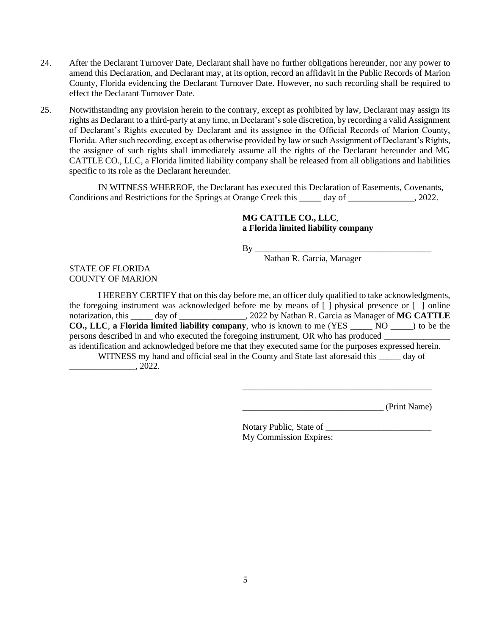- 24. After the Declarant Turnover Date, Declarant shall have no further obligations hereunder, nor any power to amend this Declaration, and Declarant may, at its option, record an affidavit in the Public Records of Marion County, Florida evidencing the Declarant Turnover Date. However, no such recording shall be required to effect the Declarant Turnover Date.
- 25. Notwithstanding any provision herein to the contrary, except as prohibited by law, Declarant may assign its rights as Declarant to a third-party at any time, in Declarant's sole discretion, by recording a valid Assignment of Declarant's Rights executed by Declarant and its assignee in the Official Records of Marion County, Florida. After such recording, except as otherwise provided by law or such Assignment of Declarant's Rights, the assignee of such rights shall immediately assume all the rights of the Declarant hereunder and MG CATTLE CO., LLC, a Florida limited liability company shall be released from all obligations and liabilities specific to its role as the Declarant hereunder.

IN WITNESS WHEREOF, the Declarant has executed this Declaration of Easements, Covenants, Conditions and Restrictions for the Springs at Orange Creek this \_\_\_\_\_ day of \_\_\_\_\_\_\_\_\_\_\_\_, 2022.

## **MG CATTLE CO., LLC**, **a Florida limited liability company**

By \_\_\_\_\_\_\_\_\_\_\_\_\_\_\_\_\_\_\_\_\_\_\_\_\_\_\_\_\_\_\_\_\_\_\_\_\_\_\_\_

Nathan R. Garcia, Manager

# STATE OF FLORIDA COUNTY OF MARION

I HEREBY CERTIFY that on this day before me, an officer duly qualified to take acknowledgments, the foregoing instrument was acknowledged before me by means of [ ] physical presence or [ ] online notarization, this \_\_\_\_\_ day of \_\_\_\_\_\_\_\_\_\_\_\_\_\_\_, 2022 by Nathan R. Garcia as Manager of **MG CATTLE CO., LLC**, **a Florida limited liability company**, who is known to me (YES \_\_\_\_\_ NO \_\_\_\_\_) to be the persons described in and who executed the foregoing instrument, OR who has produced as identification and acknowledged before me that they executed same for the purposes expressed herein.

WITNESS my hand and official seal in the County and State last aforesaid this \_\_\_\_\_ day of  $\overline{\phantom{2022}}$ , 2022.

\_\_\_\_\_\_\_\_\_\_\_\_\_\_\_\_\_\_\_\_\_\_\_\_\_\_\_\_\_\_\_\_ (Print Name)

Notary Public, State of \_\_\_\_\_\_\_\_\_\_\_\_\_\_\_\_\_\_\_\_\_\_\_\_ My Commission Expires:

\_\_\_\_\_\_\_\_\_\_\_\_\_\_\_\_\_\_\_\_\_\_\_\_\_\_\_\_\_\_\_\_\_\_\_\_\_\_\_\_\_\_\_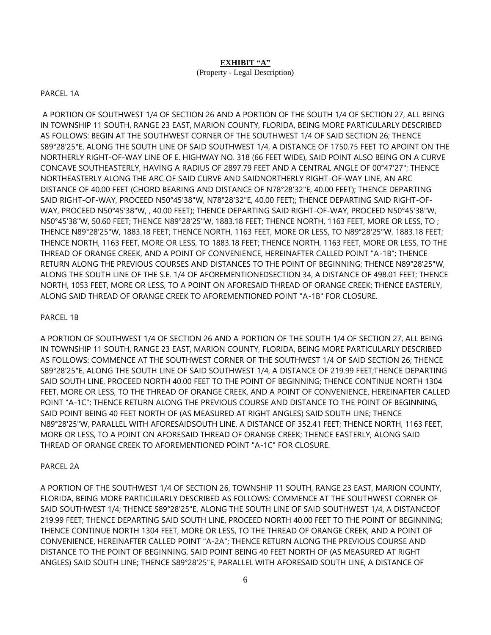### **EXHIBIT "A"**

#### (Property - Legal Description)

### PARCEL 1A

A PORTION OF SOUTHWEST 1/4 OF SECTION 26 AND A PORTION OF THE SOUTH 1/4 OF SECTION 27, ALL BEING IN TOWNSHIP 11 SOUTH, RANGE 23 EAST, MARION COUNTY, FLORIDA, BEING MORE PARTICULARLY DESCRIBED AS FOLLOWS: BEGIN AT THE SOUTHWEST CORNER OF THE SOUTHWEST 1/4 OF SAID SECTION 26; THENCE S89°28'25"E, ALONG THE SOUTH LINE OF SAID SOUTHWEST 1/4, A DISTANCE OF 1750.75 FEET TO APOINT ON THE NORTHERLY RIGHT-OF-WAY LINE OF E. HIGHWAY NO. 318 (66 FEET WIDE), SAID POINT ALSO BEING ON A CURVE CONCAVE SOUTHEASTERLY, HAVING A RADIUS OF 2897.79 FEET AND A CENTRAL ANGLE OF 00°47'27"; THENCE NORTHEASTERLY ALONG THE ARC OF SAID CURVE AND SAIDNORTHERLY RIGHT-OF-WAY LINE, AN ARC DISTANCE OF 40.00 FEET (CHORD BEARING AND DISTANCE OF N78°28'32"E, 40.00 FEET); THENCE DEPARTING SAID RIGHT-OF-WAY, PROCEED N50°45'38"W, N78°28'32"E, 40.00 FEET); THENCE DEPARTING SAID RIGHT-OF-WAY, PROCEED N50°45'38"W, , 40.00 FEET); THENCE DEPARTING SAID RIGHT-OF-WAY, PROCEED N50°45'38"W, N50°45'38"W, 50.60 FEET; THENCE N89°28'25"W, 1883.18 FEET; THENCE NORTH, 1163 FEET, MORE OR LESS, TO ; THENCE N89°28'25"W, 1883.18 FEET; THENCE NORTH, 1163 FEET, MORE OR LESS, TO N89°28'25"W, 1883.18 FEET; THENCE NORTH, 1163 FEET, MORE OR LESS, TO 1883.18 FEET; THENCE NORTH, 1163 FEET, MORE OR LESS, TO THE THREAD OF ORANGE CREEK, AND A POINT OF CONVENIENCE, HEREINAFTER CALLED POINT "A-1B"; THENCE RETURN ALONG THE PREVIOUS COURSES AND DISTANCES TO THE POINT OF BEGINNING; THENCE N89°28'25"W, ALONG THE SOUTH LINE OF THE S.E. 1/4 OF AFOREMENTIONEDSECTION 34, A DISTANCE OF 498.01 FEET; THENCE NORTH, 1053 FEET, MORE OR LESS, TO A POINT ON AFORESAID THREAD OF ORANGE CREEK; THENCE EASTERLY, ALONG SAID THREAD OF ORANGE CREEK TO AFOREMENTIONED POINT "A-1B" FOR CLOSURE.

## PARCEL 1B

A PORTION OF SOUTHWEST 1/4 OF SECTION 26 AND A PORTION OF THE SOUTH 1/4 OF SECTION 27, ALL BEING IN TOWNSHIP 11 SOUTH, RANGE 23 EAST, MARION COUNTY, FLORIDA, BEING MORE PARTICULARLY DESCRIBED AS FOLLOWS: COMMENCE AT THE SOUTHWEST CORNER OF THE SOUTHWEST 1/4 OF SAID SECTION 26; THENCE S89°28'25"E, ALONG THE SOUTH LINE OF SAID SOUTHWEST 1/4, A DISTANCE OF 219.99 FEET;THENCE DEPARTING SAID SOUTH LINE, PROCEED NORTH 40.00 FEET TO THE POINT OF BEGINNING; THENCE CONTINUE NORTH 1304 FEET, MORE OR LESS, TO THE THREAD OF ORANGE CREEK, AND A POINT OF CONVENIENCE, HEREINAFTER CALLED POINT "A-1C"; THENCE RETURN ALONG THE PREVIOUS COURSE AND DISTANCE TO THE POINT OF BEGINNING, SAID POINT BEING 40 FEET NORTH OF (AS MEASURED AT RIGHT ANGLES) SAID SOUTH LINE; THENCE N89°28'25"W, PARALLEL WITH AFORESAIDSOUTH LINE, A DISTANCE OF 352.41 FEET; THENCE NORTH, 1163 FEET, MORE OR LESS, TO A POINT ON AFORESAID THREAD OF ORANGE CREEK; THENCE EASTERLY, ALONG SAID THREAD OF ORANGE CREEK TO AFOREMENTIONED POINT "A-1C" FOR CLOSURE.

## PARCEL 2A

A PORTION OF THE SOUTHWEST 1/4 OF SECTION 26, TOWNSHIP 11 SOUTH, RANGE 23 EAST, MARION COUNTY, FLORIDA, BEING MORE PARTICULARLY DESCRIBED AS FOLLOWS: COMMENCE AT THE SOUTHWEST CORNER OF SAID SOUTHWEST 1/4; THENCE S89°28'25"E, ALONG THE SOUTH LINE OF SAID SOUTHWEST 1/4, A DISTANCEOF 219.99 FEET; THENCE DEPARTING SAID SOUTH LINE, PROCEED NORTH 40.00 FEET TO THE POINT OF BEGINNING; THENCE CONTINUE NORTH 1304 FEET, MORE OR LESS, TO THE THREAD OF ORANGE CREEK, AND A POINT OF CONVENIENCE, HEREINAFTER CALLED POINT "A-2A"; THENCE RETURN ALONG THE PREVIOUS COURSE AND DISTANCE TO THE POINT OF BEGINNING, SAID POINT BEING 40 FEET NORTH OF (AS MEASURED AT RIGHT ANGLES) SAID SOUTH LINE; THENCE S89°28'25"E, PARALLEL WITH AFORESAID SOUTH LINE, A DISTANCE OF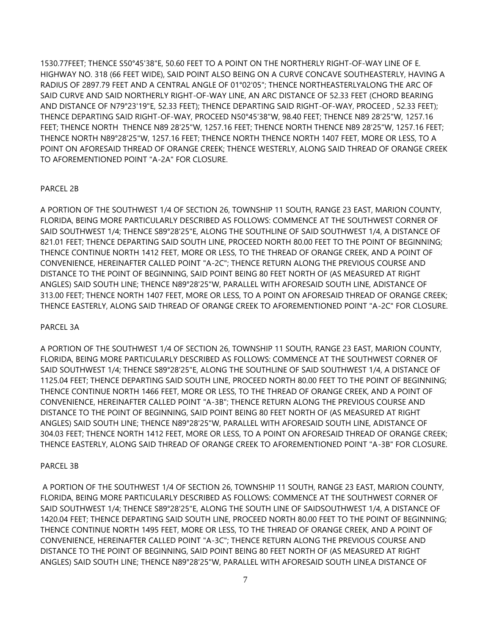1530.77FEET; THENCE S50°45'38"E, 50.60 FEET TO A POINT ON THE NORTHERLY RIGHT-OF-WAY LINE OF E. HIGHWAY NO. 318 (66 FEET WIDE), SAID POINT ALSO BEING ON A CURVE CONCAVE SOUTHEASTERLY, HAVING A RADIUS OF 2897.79 FEET AND A CENTRAL ANGLE OF 01°02'05"; THENCE NORTHEASTERLYALONG THE ARC OF SAID CURVE AND SAID NORTHERLY RIGHT-OF-WAY LINE, AN ARC DISTANCE OF 52.33 FEET (CHORD BEARING AND DISTANCE OF N79°23'19"E, 52.33 FEET); THENCE DEPARTING SAID RIGHT-OF-WAY, PROCEED , 52.33 FEET); THENCE DEPARTING SAID RIGHT-OF-WAY, PROCEED N50°45'38"W, 98.40 FEET; THENCE N89 28'25"W, 1257.16 FEET; THENCE NORTH THENCE N89 28'25"W, 1257.16 FEET; THENCE NORTH THENCE N89 28'25"W, 1257.16 FEET; THENCE NORTH N89°28'25"W, 1257.16 FEET; THENCE NORTH THENCE NORTH 1407 FEET, MORE OR LESS, TO A POINT ON AFORESAID THREAD OF ORANGE CREEK; THENCE WESTERLY, ALONG SAID THREAD OF ORANGE CREEK TO AFOREMENTIONED POINT "A-2A" FOR CLOSURE.

#### PARCEL 2B

A PORTION OF THE SOUTHWEST 1/4 OF SECTION 26, TOWNSHIP 11 SOUTH, RANGE 23 EAST, MARION COUNTY, FLORIDA, BEING MORE PARTICULARLY DESCRIBED AS FOLLOWS: COMMENCE AT THE SOUTHWEST CORNER OF SAID SOUTHWEST 1/4; THENCE S89°28'25"E, ALONG THE SOUTHLINE OF SAID SOUTHWEST 1/4, A DISTANCE OF 821.01 FEET; THENCE DEPARTING SAID SOUTH LINE, PROCEED NORTH 80.00 FEET TO THE POINT OF BEGINNING; THENCE CONTINUE NORTH 1412 FEET, MORE OR LESS, TO THE THREAD OF ORANGE CREEK, AND A POINT OF CONVENIENCE, HEREINAFTER CALLED POINT "A-2C"; THENCE RETURN ALONG THE PREVIOUS COURSE AND DISTANCE TO THE POINT OF BEGINNING, SAID POINT BEING 80 FEET NORTH OF (AS MEASURED AT RIGHT ANGLES) SAID SOUTH LINE; THENCE N89°28'25"W, PARALLEL WITH AFORESAID SOUTH LINE, ADISTANCE OF 313.00 FEET; THENCE NORTH 1407 FEET, MORE OR LESS, TO A POINT ON AFORESAID THREAD OF ORANGE CREEK; THENCE EASTERLY, ALONG SAID THREAD OF ORANGE CREEK TO AFOREMENTIONED POINT "A-2C" FOR CLOSURE.

#### PARCEL 3A

A PORTION OF THE SOUTHWEST 1/4 OF SECTION 26, TOWNSHIP 11 SOUTH, RANGE 23 EAST, MARION COUNTY, FLORIDA, BEING MORE PARTICULARLY DESCRIBED AS FOLLOWS: COMMENCE AT THE SOUTHWEST CORNER OF SAID SOUTHWEST 1/4; THENCE S89°28'25"E, ALONG THE SOUTHLINE OF SAID SOUTHWEST 1/4, A DISTANCE OF 1125.04 FEET; THENCE DEPARTING SAID SOUTH LINE, PROCEED NORTH 80.00 FEET TO THE POINT OF BEGINNING; THENCE CONTINUE NORTH 1466 FEET, MORE OR LESS, TO THE THREAD OF ORANGE CREEK, AND A POINT OF CONVENIENCE, HEREINAFTER CALLED POINT "A-3B"; THENCE RETURN ALONG THE PREVIOUS COURSE AND DISTANCE TO THE POINT OF BEGINNING, SAID POINT BEING 80 FEET NORTH OF (AS MEASURED AT RIGHT ANGLES) SAID SOUTH LINE; THENCE N89°28'25"W, PARALLEL WITH AFORESAID SOUTH LINE, ADISTANCE OF 304.03 FEET; THENCE NORTH 1412 FEET, MORE OR LESS, TO A POINT ON AFORESAID THREAD OF ORANGE CREEK; THENCE EASTERLY, ALONG SAID THREAD OF ORANGE CREEK TO AFOREMENTIONED POINT "A-3B" FOR CLOSURE.

#### PARCEL 3B

A PORTION OF THE SOUTHWEST 1/4 OF SECTION 26, TOWNSHIP 11 SOUTH, RANGE 23 EAST, MARION COUNTY, FLORIDA, BEING MORE PARTICULARLY DESCRIBED AS FOLLOWS: COMMENCE AT THE SOUTHWEST CORNER OF SAID SOUTHWEST 1/4; THENCE S89°28'25"E, ALONG THE SOUTH LINE OF SAIDSOUTHWEST 1/4, A DISTANCE OF 1420.04 FEET; THENCE DEPARTING SAID SOUTH LINE, PROCEED NORTH 80.00 FEET TO THE POINT OF BEGINNING; THENCE CONTINUE NORTH 1495 FEET, MORE OR LESS, TO THE THREAD OF ORANGE CREEK, AND A POINT OF CONVENIENCE, HEREINAFTER CALLED POINT "A-3C"; THENCE RETURN ALONG THE PREVIOUS COURSE AND DISTANCE TO THE POINT OF BEGINNING, SAID POINT BEING 80 FEET NORTH OF (AS MEASURED AT RIGHT ANGLES) SAID SOUTH LINE; THENCE N89°28'25"W, PARALLEL WITH AFORESAID SOUTH LINE,A DISTANCE OF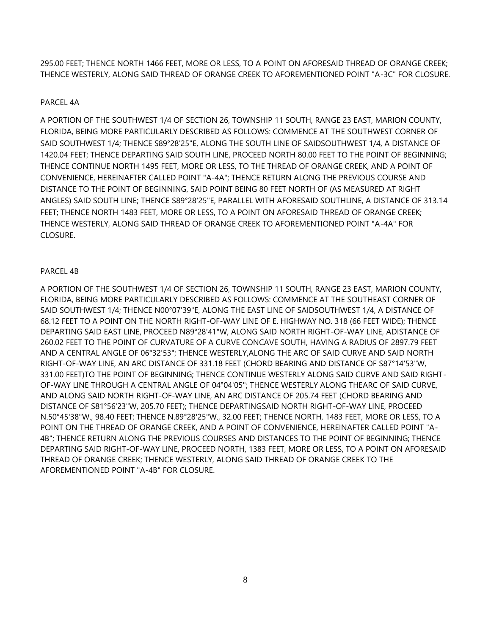295.00 FEET; THENCE NORTH 1466 FEET, MORE OR LESS, TO A POINT ON AFORESAID THREAD OF ORANGE CREEK; THENCE WESTERLY, ALONG SAID THREAD OF ORANGE CREEK TO AFOREMENTIONED POINT "A-3C" FOR CLOSURE.

### PARCEL 4A

A PORTION OF THE SOUTHWEST 1/4 OF SECTION 26, TOWNSHIP 11 SOUTH, RANGE 23 EAST, MARION COUNTY, FLORIDA, BEING MORE PARTICULARLY DESCRIBED AS FOLLOWS: COMMENCE AT THE SOUTHWEST CORNER OF SAID SOUTHWEST 1/4; THENCE S89°28'25"E, ALONG THE SOUTH LINE OF SAIDSOUTHWEST 1/4, A DISTANCE OF 1420.04 FEET; THENCE DEPARTING SAID SOUTH LINE, PROCEED NORTH 80.00 FEET TO THE POINT OF BEGINNING; THENCE CONTINUE NORTH 1495 FEET, MORE OR LESS, TO THE THREAD OF ORANGE CREEK, AND A POINT OF CONVENIENCE, HEREINAFTER CALLED POINT "A-4A"; THENCE RETURN ALONG THE PREVIOUS COURSE AND DISTANCE TO THE POINT OF BEGINNING, SAID POINT BEING 80 FEET NORTH OF (AS MEASURED AT RIGHT ANGLES) SAID SOUTH LINE; THENCE S89°28'25"E, PARALLEL WITH AFORESAID SOUTHLINE, A DISTANCE OF 313.14 FEET; THENCE NORTH 1483 FEET, MORE OR LESS, TO A POINT ON AFORESAID THREAD OF ORANGE CREEK; THENCE WESTERLY, ALONG SAID THREAD OF ORANGE CREEK TO AFOREMENTIONED POINT "A-4A" FOR CLOSURE.

### PARCEL 4B

A PORTION OF THE SOUTHWEST 1/4 OF SECTION 26, TOWNSHIP 11 SOUTH, RANGE 23 EAST, MARION COUNTY, FLORIDA, BEING MORE PARTICULARLY DESCRIBED AS FOLLOWS: COMMENCE AT THE SOUTHEAST CORNER OF SAID SOUTHWEST 1/4; THENCE N00°07'39"E, ALONG THE EAST LINE OF SAIDSOUTHWEST 1/4, A DISTANCE OF 68.12 FEET TO A POINT ON THE NORTH RIGHT-OF-WAY LINE OF E. HIGHWAY NO. 318 (66 FEET WIDE); THENCE DEPARTING SAID EAST LINE, PROCEED N89°28'41"W, ALONG SAID NORTH RIGHT-OF-WAY LINE, ADISTANCE OF 260.02 FEET TO THE POINT OF CURVATURE OF A CURVE CONCAVE SOUTH, HAVING A RADIUS OF 2897.79 FEET AND A CENTRAL ANGLE OF 06°32'53"; THENCE WESTERLY,ALONG THE ARC OF SAID CURVE AND SAID NORTH RIGHT-OF-WAY LINE, AN ARC DISTANCE OF 331.18 FEET (CHORD BEARING AND DISTANCE OF S87°14'53"W, 331.00 FEET)TO THE POINT OF BEGINNING; THENCE CONTINUE WESTERLY ALONG SAID CURVE AND SAID RIGHT-OF-WAY LINE THROUGH A CENTRAL ANGLE OF 04°04'05"; THENCE WESTERLY ALONG THEARC OF SAID CURVE, AND ALONG SAID NORTH RIGHT-OF-WAY LINE, AN ARC DISTANCE OF 205.74 FEET (CHORD BEARING AND DISTANCE OF S81°56'23"W, 205.70 FEET); THENCE DEPARTINGSAID NORTH RIGHT-OF-WAY LINE, PROCEED N.50°45'38"W., 98.40 FEET; THENCE N.89°28'25"W., 32.00 FEET; THENCE NORTH, 1483 FEET, MORE OR LESS, TO A POINT ON THE THREAD OF ORANGE CREEK, AND A POINT OF CONVENIENCE, HEREINAFTER CALLED POINT "A-4B"; THENCE RETURN ALONG THE PREVIOUS COURSES AND DISTANCES TO THE POINT OF BEGINNING; THENCE DEPARTING SAID RIGHT-OF-WAY LINE, PROCEED NORTH, 1383 FEET, MORE OR LESS, TO A POINT ON AFORESAID THREAD OF ORANGE CREEK; THENCE WESTERLY, ALONG SAID THREAD OF ORANGE CREEK TO THE AFOREMENTIONED POINT "A-4B" FOR CLOSURE.